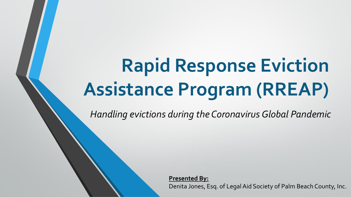# **Rapid Response Eviction Assistance Program (RREAP)**

*Handling evictions during the Coronavirus Global Pandemic*

**Presented By:**  Denita Jones, Esq. of Legal Aid Society of Palm Beach County, Inc.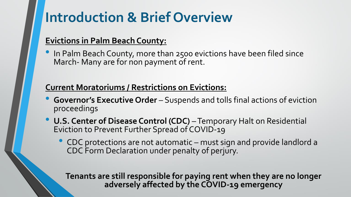### **Introduction & Brief Overview**

#### **Evictions in Palm Beach County:**

• In Palm Beach County, more than 2500 evictions have been filed since March- Many are for non payment of rent.

#### **Current Moratoriums / Restrictions on Evictions:**

- **Governor's Executive Order**  Suspends and tolls final actions of eviction proceedings
- **U.S. Center of Disease Control (CDC)** –Temporary Halt on Residential Eviction to Prevent Further Spread of COVID-19
	- CDC protections are not automatic must sign and provide landlord a CDC Form Declaration under penalty of perjury.

**Tenants are still responsible for paying rent when they are no longer adversely affected by the COVID-19 emergency**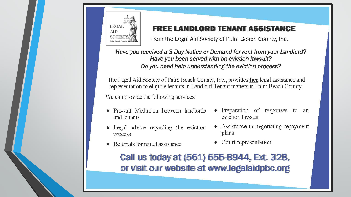

#### **FREE LANDLORD TENANT ASSISTANCE**

From the Legal Aid Society of Palm Beach County, Inc.

Have you received a 3 Day Notice or Demand for rent from your Landlord? Have you been served with an eviction lawsuit? Do you need help understanding the eviction process?

The Legal Aid Society of Palm Beach County, Inc., provides free legal assistance and representation to eligible tenants in Landlord Tenant matters in Palm Beach County.

We can provide the following services:

- Pre-suit Mediation between landlords and tenants
- Legal advice regarding the eviction process
- Referrals for rental assistance
- Preparation of responses to an eviction lawsuit
- Assistance in negotiating repayment plans
- Court representation

Call us today at (561) 655-8944, Ext. 328, or visit our website at www.legalaidpbc.org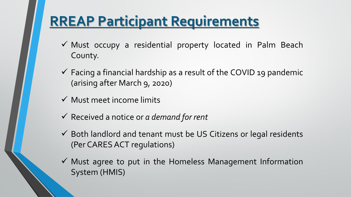## **RREAP Participant Requirements**

- ✓ Must occupy a residential property located in Palm Beach County.
- $\checkmark$  Facing a financial hardship as a result of the COVID 19 pandemic (arising after March 9, 2020)
- $\checkmark$  Must meet income limits
- ✓ Received a notice or *a demand for rent*
- $\checkmark$  Both landlord and tenant must be US Citizens or legal residents (Per CARES ACT regulations)
- $\checkmark$  Must agree to put in the Homeless Management Information System (HMIS)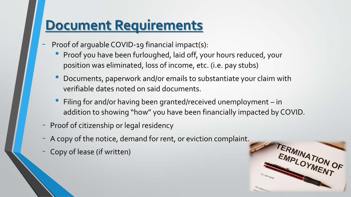### **Document Requirements**

- Proof of arguable COVID-19 financial impact(s):
	- Proof you have been furloughed, laid off, your hours reduced, your position was eliminated, loss of income, etc. (i.e. pay stubs)
	- Documents, paperwork and/or emails to substantiate your claim with verifiable dates noted on said documents.
	- Filing for and/or having been granted/received unemployment in addition to showing "how" you have been financially impacted by COVID.
- Proof of citizenship or legal residency
- A copy of the notice, demand for rent, or eviction complaint.
- Copy of lease (if written)

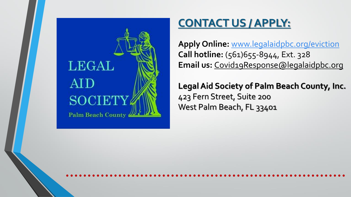

### **CONTACT US / APPLY:**

**Apply Online:** [www.legalaidpbc.org/eviction](http://www.legalaidpbc.org/eviction) **Call hotline:** (561)655-8944, Ext. 328 Email us: [Covid19Response@legalaidpbc.org](mailto:Covid19Response@legalaidpbc.org)

**Legal Aid Society of Palm Beach County, Inc.**  423 Fern Street, Suite 200 West Palm Beach, FL 33401